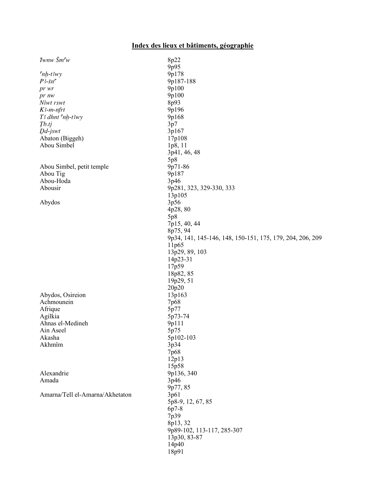## Index des lieux et bâtiments, géographie

| $I$ wnw $\check{S}m^{\mathsf{c}}w$ | 8p22                                                      |
|------------------------------------|-----------------------------------------------------------|
|                                    | 9p95                                                      |
| $n_{h-t3wy}$                       | 9p178                                                     |
| $P3$ -šn $\sigma$                  | 9p187-188                                                 |
| pr wr                              | 9p100                                                     |
| pr nw                              | 9p100                                                     |
| Niwt rswt                          | 8p93                                                      |
| $K$ 3-m-nfrt                       | 9p196                                                     |
| T3 dhnt 'nh-t3wy                   | 9p168                                                     |
| Tb.tj                              | 3p7                                                       |
| $D$ <i>d</i> -jswt                 | 3p167                                                     |
| Abaton (Biggeh)                    | 17p108                                                    |
| Abou Simbel                        | 1p8, 11                                                   |
|                                    | 3p41, 46, 48                                              |
|                                    |                                                           |
|                                    | 5p8                                                       |
| Abou Simbel, petit temple          | 9p71-86                                                   |
| Abou Tig                           | 9p187                                                     |
| Abou-Hoda                          | 3p46                                                      |
| Abousir                            | 9p281, 323, 329-330, 333                                  |
|                                    | 13p105                                                    |
| Abydos                             | 3p56                                                      |
|                                    | 4p28, 80                                                  |
|                                    | 5p8                                                       |
|                                    | 7p15, 40, 44                                              |
|                                    | 8p75, 94                                                  |
|                                    | 9p34, 141, 145-146, 148, 150-151, 175, 179, 204, 206, 209 |
|                                    | 11p65                                                     |
|                                    | 13p29, 89, 103                                            |
|                                    | 14p23-31                                                  |
|                                    | 17p59                                                     |
|                                    | 18p82, 85                                                 |
|                                    | 19p29, 51                                                 |
|                                    | 20p20                                                     |
| Abydos, Osireion                   | 13p163                                                    |
| Achmounein                         | 7p68                                                      |
| Afrique                            | 5p77                                                      |
| Agilkia                            | 5p73-74                                                   |
| Ahnas el-Medineh                   |                                                           |
| Ain Aseel                          | 9p111                                                     |
|                                    | 5p75                                                      |
| Akasha                             | 5p102-103                                                 |
| Akhmîm                             | 3p34                                                      |
|                                    | 7p68                                                      |
|                                    | 12p13                                                     |
|                                    | 15p58                                                     |
| Alexandrie                         | 9p136, 340                                                |
| Amada                              | 3p46                                                      |
|                                    | 9p77, 85                                                  |
| Amarna/Tell el-Amarna/Akhetaton    | 3p61                                                      |
|                                    | 5p8-9, 12, 67, 85                                         |
|                                    | 6p7-8                                                     |
|                                    | 7p39                                                      |
|                                    | 8p13, 32                                                  |
|                                    | 9p89-102, 113-117, 285-307                                |
|                                    | 13p30, 83-87                                              |
|                                    | 14p40                                                     |
|                                    | 18p91                                                     |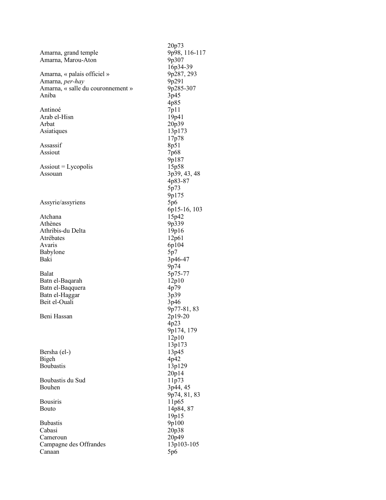|                                    | 20p73         |
|------------------------------------|---------------|
| Amarna, grand temple               | 9p98, 116-117 |
|                                    |               |
| Amarna, Marou-Aton                 | 9p307         |
|                                    | 16p34-39      |
| Amarna, « palais officiel »        | 9p287, 293    |
| Amarna, per-hay                    | 9p291         |
| Amarna, « salle du couronnement »  | 9p285-307     |
| Aniba                              | 3p45          |
|                                    | 4p85          |
| Antinoé                            | 7p11          |
| Arab el-Hisn                       | 19p41         |
| Arbat                              | 20p39         |
|                                    |               |
| Asiatiques                         | 13p173        |
|                                    | 17p78         |
| Assassif                           | 8p51          |
| Assiout                            | 7p68          |
|                                    | 9p187         |
| $\text{Associ} = \text{Lycopolis}$ | 15p58         |
| Assouan                            | 3p39, 43, 48  |
|                                    | 4p83-87       |
|                                    | 5p73          |
|                                    | 9p175         |
|                                    |               |
| Assyrie/assyriens                  | 5p6           |
|                                    | 6p15-16, 103  |
| Atchana                            | 15p42         |
| Athènes                            | 9p339         |
| Athribis-du Delta                  | 19p16         |
| Atrébates                          | 12p61         |
| Avaris                             | 6p104         |
| Babylone                           | 5p7           |
| Baki                               | 3p46-47       |
|                                    | 9p74          |
| <b>Balat</b>                       | 5p75-77       |
| Batn el-Baqarah                    | 12p10         |
| Batn el-Baqquera                   | 4p79          |
|                                    |               |
| Batn el-Haggar                     | 3p39          |
| Beit el-Ouali                      | 3p46          |
|                                    | 9p77-81, 83   |
| Beni Hassan                        | 2p19-20       |
|                                    | 4p23          |
|                                    | 9p174, 179    |
|                                    | 12p10         |
|                                    | 13p173        |
| Bersha (el-)                       | 13p45         |
| Bigeh                              | 4p42          |
| <b>Boubastis</b>                   | 13p129        |
|                                    | 20p14         |
|                                    |               |
| Boubastis du Sud                   | 11p73         |
| Bouhen                             | 3p44, 45      |
|                                    | 9p74, 81, 83  |
| <b>Bousiris</b>                    | 11p65         |
| Bouto                              | 14p84, 87     |
|                                    | 19p15         |
| <b>Bubastis</b>                    | 9p100         |
| Cabasi                             | 20p38         |
| Cameroun                           | 20p49         |
| Campagne des Offrandes             | 13p103-105    |
| Canaan                             | 5p6           |
|                                    |               |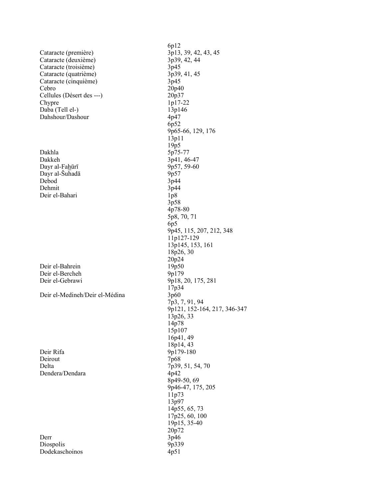|                                | 6p12                         |
|--------------------------------|------------------------------|
|                                |                              |
| Cataracte (première)           | 3p13, 39, 42, 43, 45         |
| Cataracte (deuxième)           | 3p39, 42, 44                 |
| Cataracte (troisième)          | 3p45                         |
| Cataracte (quatrième)          | 3p39, 41, 45                 |
| Cataracte (cinquième)          | 3p45                         |
| Cebro                          | 20p40                        |
| Cellules (Désert des ---)      | 20p37                        |
| Chypre                         | 1p17-22                      |
| Daba (Tell el-)                | 13p146                       |
| Dahshour/Dashour               | 4p47                         |
|                                |                              |
|                                | 6p52                         |
|                                | 9p65-66, 129, 176            |
|                                | 13p11                        |
|                                | 19p5                         |
| Dakhla                         | 5p75-77                      |
| Dakkeh                         | 3p41, 46-47                  |
| Dayr al-Fahūrī                 | 9p57, 59-60                  |
| Dayr al-Suhadā                 | 9p57                         |
| Debod                          | 3p44                         |
| Dehmit                         | 3p44                         |
| Deir el-Bahari                 |                              |
|                                | 1p8                          |
|                                | 3p58                         |
|                                | 4p78-80                      |
|                                | 5p8, 70, 71                  |
|                                | 6p5                          |
|                                | 9p45, 115, 207, 212, 348     |
|                                | 11p127-129                   |
|                                | 13p145, 153, 161             |
|                                | 18p26, 30                    |
|                                | 20p24                        |
| Deir el-Bahrein                | 19p50                        |
|                                |                              |
| Deir el-Bercheh                | 9p179                        |
| Deir el-Gebrawi                | 9p18, 20, 175, 281           |
|                                | 17p34                        |
| Deir el-Medineh/Deir el-Médina | 3p60                         |
|                                | 7p3, 7, 91, 94               |
|                                | 9p121, 152-164, 217, 346-347 |
|                                | 13p26, 33                    |
|                                | 14p78                        |
|                                | 15p107                       |
|                                | 16p41, 49                    |
|                                |                              |
|                                | 18p14, 43                    |
| Deir Rifa                      | 9p179-180                    |
| Deirout                        | 7p68                         |
| Delta                          | 7p39, 51, 54, 70             |
| Dendera/Dendara                | 4p42                         |
|                                | 8p49-50, 69                  |
|                                | 9p46-47, 175, 205            |
|                                | 11p73                        |
|                                | 13p97                        |
|                                | 14p55, 65, 73                |
|                                | 17p25, 60, 100               |
|                                |                              |
|                                | 19p15, 35-40                 |
|                                | 20p72                        |
| Derr                           | 3p46                         |
| Diospolis                      | 9p339                        |
| Dodekaschoinos                 | 4p51                         |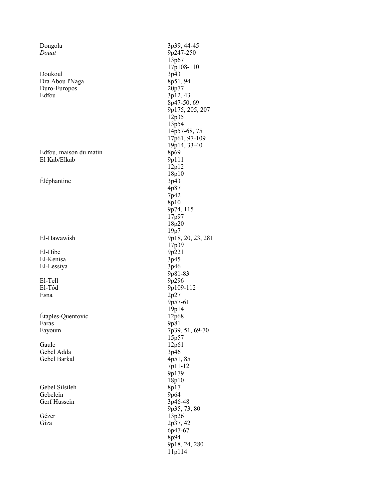| Dongola                | 3p39, 44-45       |
|------------------------|-------------------|
| Douat                  | 9p247-250         |
|                        | 13p67             |
|                        | 17p108-110        |
| Doukoul                | 3p43              |
| Dra Abou l'Naga        | 8p51, 94          |
|                        |                   |
| Duro-Europos           | 20p77             |
| Edfou                  | 3p12, 43          |
|                        | 8p47-50, 69       |
|                        | 9p175, 205, 207   |
|                        | 12p35             |
|                        | 13p54             |
|                        | 14p57-68, 75      |
|                        | 17p61, 97-109     |
|                        | 19p14, 33-40      |
| Edfou, maison du matin | 8p69              |
| El Kab/Elkab           | 9p111             |
|                        | 12p12             |
|                        | 18p10             |
| Éléphantine            | 3p43              |
|                        |                   |
|                        | 4p87              |
|                        | 7p42              |
|                        | 8p10              |
|                        | 9p74, 115         |
|                        | 17p97             |
|                        | 18p20             |
|                        | 19p7              |
| El-Hawawish            | 9p18, 20, 23, 281 |
|                        | 17p39             |
| El-Hibe                | 9p221             |
| El-Kenisa              | 3p45              |
| El-Lessiya             | 3p46              |
|                        | 9p81-83           |
| El-Tell                | 9p296             |
| El-Tôd                 |                   |
| Esna                   | 9p109-112         |
|                        | 2p27              |
|                        | 9p57-61           |
|                        | 19p14             |
| Étaples-Quentovic      | 12p68             |
| Faras                  | 9p81              |
| Fayoum                 | 7p39, 51, 69-70   |
|                        | 15p57             |
| Gaule                  | 12p61             |
| Gebel Adda             | 3p46              |
| Gebel Barkal           | 4p51,85           |
|                        | 7p11-12           |
|                        | 9p179             |
|                        | 18p10             |
| Gebel Silsileh         | 8p17              |
| Gebelein               | 9p64              |
| Gerf Hussein           | 3p46-48           |
|                        |                   |
|                        | 9p35, 73, 80      |
| Gézer                  | 13p26             |
| Giza                   | 2p37, 42          |
|                        | 6p47-67           |
|                        | 8p94              |
|                        | 9p18, 24, 280     |
|                        | 11p114            |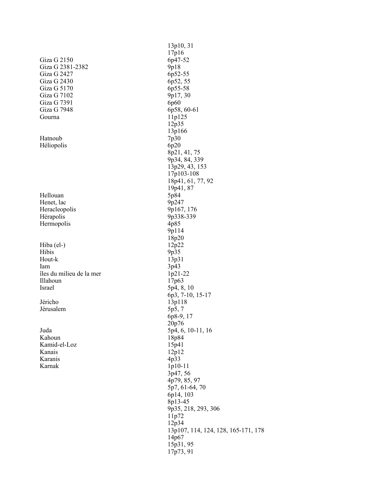|                          | 13p10, 31<br>17p16                  |
|--------------------------|-------------------------------------|
| Giza G 2150              | 6p47-52                             |
| Giza G 2381-2382         | 9p18                                |
| Giza G 2427              | 6p52-55                             |
| Giza G 2430              | 6p52, 55                            |
| Giza G 5170              | 6p55-58                             |
| Giza G 7102              | 9p17, 30                            |
| Giza G 7391              | 6p60                                |
| Giza G 7948              | 6p58, 60-61                         |
| Gourna                   | 11p125                              |
|                          | 12p35                               |
|                          | 13p166                              |
| Hatnoub                  | 7p30                                |
| Héliopolis               | 6p20                                |
|                          | 8p21, 41, 75                        |
|                          | 9p34, 84, 339                       |
|                          | 13p29, 43, 153                      |
|                          | 17p103-108                          |
|                          | 18p41, 61, 77, 92                   |
|                          | 19p41, 87                           |
| Hellouan                 | 5p84                                |
| Henet, lac               | 9p247                               |
| Heracleopolis            | 9p167, 176                          |
| Hérapolis                | 9p338-339                           |
| Hermopolis               | 4p85                                |
|                          | 9p114                               |
|                          | 18p20                               |
| Hiba (el-)               | 12p22                               |
| Hibis                    | 9p35                                |
| Hout-k                   | 13p31                               |
| lam                      | 3p43                                |
| îles du milieu de la mer | 1p21-22                             |
| Illahoun                 | 17 <sub>p63</sub>                   |
| Israel                   | 5p4, 8, 10                          |
|                          | 6p3, 7-10, 15-17                    |
| Jéricho                  | 13p118                              |
| Jérusalem                | 5p5,7                               |
|                          | 6p8-9, 17                           |
|                          | 20p76                               |
| Juda                     | 5p4, 6, 10-11, 16                   |
| Kahoun                   | 18p84                               |
| Kamid-el-Loz             | 15p41                               |
| Kanais                   | 12p12                               |
| Karanis                  | 4p33                                |
| Karnak                   | 1p10-11                             |
|                          | 3p47, 56                            |
|                          | 4p79, 85, 97                        |
|                          | 5p7, 61-64, 70                      |
|                          | 6p14, 103                           |
|                          | 8p13-45                             |
|                          | 9p35, 218, 293, 306                 |
|                          | 11p72                               |
|                          | 12p34                               |
|                          | 13p107, 114, 124, 128, 165-171, 178 |
|                          | 14p67                               |
|                          | 15p31, 95                           |
|                          | 17p73, 91                           |
|                          |                                     |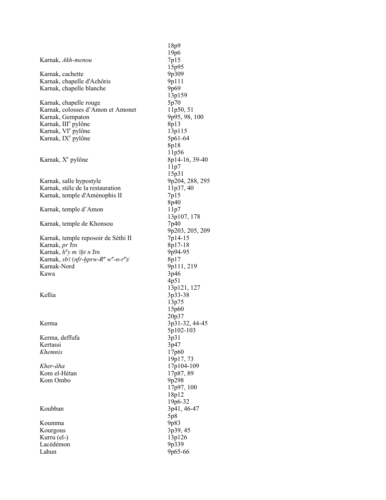|                                                                                                     | 18p9            |
|-----------------------------------------------------------------------------------------------------|-----------------|
|                                                                                                     | 19p6            |
| Karnak, Akh-menou                                                                                   | 7p15            |
|                                                                                                     | 15p95           |
| Karnak, cachette                                                                                    | 9p309           |
| Karnak, chapelle d'Achôris                                                                          | 9p111           |
| Karnak, chapelle blanche                                                                            | 9p69            |
|                                                                                                     | 13p159          |
| Karnak, chapelle rouge                                                                              | 5p70            |
| Karnak, colosses d'Amon et Amonet                                                                   | 11p50, 51       |
| Karnak, Gempaton                                                                                    | 9p95, 98, 100   |
|                                                                                                     | 8p13            |
| Karnak, III <sup>e</sup> pylône<br>Karnak, VI <sup>e</sup> pylône<br>Karnak, IX <sup>e</sup> pylône | 13p115          |
|                                                                                                     | 5p61-64         |
|                                                                                                     | 8p18            |
|                                                                                                     | 11p56           |
| Karnak, X <sup>e</sup> pylône                                                                       | 8p14-16, 39-40  |
|                                                                                                     | 11p7            |
|                                                                                                     | 15p31           |
| Karnak, salle hypostyle                                                                             | 9p204, 288, 295 |
| Karnak, stèle de la restauration                                                                    | 11p37, 40       |
| Karnak, temple d'Aménophis II                                                                       | 7p15            |
|                                                                                                     | 8p40            |
| Karnak, temple d'Amon                                                                               | 11p7            |
|                                                                                                     | 13p107, 178     |
| Karnak, temple de Khonsou                                                                           | 7p40            |
|                                                                                                     | 9p203, 205, 209 |
| Karnak, temple reposoir de Séthi II                                                                 | 7p14-15         |
| Karnak, <i>pr Itn</i>                                                                               | 8p17-18         |
| Karnak, $hcy$ <i>m</i> 3ht <i>n Itn</i>                                                             | 9p94-95         |
| Karnak, sb3 (nfr-hprw-R <sup>c</sup> w <sup>c</sup> -n-r <sup>c</sup> )/                            | 8p17            |
| Karnak-Nord                                                                                         | 9p111, 219      |
| Kawa                                                                                                | 3p46            |
|                                                                                                     | 4p51            |
|                                                                                                     | 13p121, 127     |
| Kellia                                                                                              | 3p33-38         |
|                                                                                                     | 13p75           |
|                                                                                                     | 15p60           |
|                                                                                                     | 20p37           |
| Kerma                                                                                               | 3p31-32, 44-45  |
|                                                                                                     | 5p102-103       |
| Kerma, deffufa                                                                                      | 3p31            |
| Kertassi                                                                                            | 3p47            |
| <i>Khemnis</i>                                                                                      | 17p60           |
|                                                                                                     | 19p17, 73       |
| Kher-âha                                                                                            | 17p104-109      |
| Kom el-Hétan                                                                                        | 17p87, 89       |
| Kom Ombo                                                                                            | 9p298           |
|                                                                                                     | 17p97, 100      |
|                                                                                                     | 18p12           |
| Koubban                                                                                             | 19p6-32         |
|                                                                                                     | 3p41, 46-47     |
|                                                                                                     | 5p8             |
| Koumma                                                                                              | 9p83            |
| Kourgous                                                                                            | 3p39, 45        |
| Kurru (el-)                                                                                         | 13p126          |
| Lacédémon                                                                                           | 9p339           |
| Lahun                                                                                               | 9p65-66         |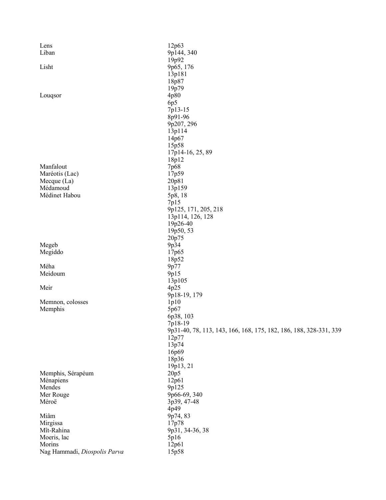| Lens                         | 12p63                                                             |
|------------------------------|-------------------------------------------------------------------|
| Liban                        | 9p144, 340                                                        |
|                              | 19p92                                                             |
| Lisht                        | 9p65, 176                                                         |
|                              | 13p181                                                            |
|                              | 18p87                                                             |
|                              | 19p79                                                             |
| Louqsor                      | 4p80                                                              |
|                              | 6p5                                                               |
|                              | 7p13-15<br>8p91-96                                                |
|                              | 9p207, 296                                                        |
|                              | 13p114                                                            |
|                              | 14p67                                                             |
|                              | 15p58                                                             |
|                              | 17p14-16, 25, 89                                                  |
|                              | 18p12                                                             |
| Manfalout                    | 7p68                                                              |
| Maréotis (Lac)               | 17p59                                                             |
| Mecque $(La)$                | 20p81                                                             |
| Médamoud                     | 13p159                                                            |
| Médinet Habou                | 5p8, 18                                                           |
|                              | 7p15                                                              |
|                              | 9p125, 171, 205, 218                                              |
|                              | 13p114, 126, 128                                                  |
|                              | 19p26-40                                                          |
|                              | 19p50, 53                                                         |
|                              | 20p75                                                             |
| Megeb                        | 9p34                                                              |
| Megiddo                      | 17p65                                                             |
|                              | 18p52                                                             |
| Méha                         | 9p77                                                              |
| Meidoum                      | 9p15                                                              |
|                              | 13p105                                                            |
| Meir                         | 4p25                                                              |
|                              | 9p18-19, 179                                                      |
| Memnon, colosses             | 1p10                                                              |
| Memphis                      | 5p67                                                              |
|                              | 6p38, 103                                                         |
|                              | 7p18-19                                                           |
|                              | 9p31-40, 78, 113, 143, 166, 168, 175, 182, 186, 188, 328-331, 339 |
|                              | 12p77                                                             |
|                              | 13p74                                                             |
|                              | 16p69                                                             |
|                              | 18p36                                                             |
|                              | 19p13, 21                                                         |
| Memphis, Sérapéum            | 20p5                                                              |
| Ménapiens                    | 12p61                                                             |
| Mendes                       | 9p125                                                             |
| Mer Rouge                    | 9p66-69, 340                                                      |
| Méroë                        | 3p39, 47-48                                                       |
|                              | 4p49                                                              |
| Miâm                         | 9p74, 83                                                          |
| Mirgissa                     | 17p78                                                             |
| Mît-Rahina                   | 9p31, 34-36, 38                                                   |
| Moeris, lac<br>Morins        | 5p16                                                              |
| Nag Hammadi, Diospolis Parva | 12p61<br>15p58                                                    |
|                              |                                                                   |
|                              |                                                                   |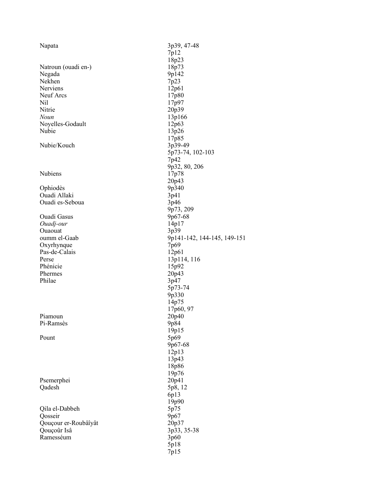| Napata               | 3p39, 47-48                 |
|----------------------|-----------------------------|
|                      | 7p12                        |
|                      | 18p23                       |
| Natroun (ouadi en-)  | 18p73                       |
| Negada               | 9p142                       |
| Nekhen               | 7p23                        |
| Nerviens             | 12p61                       |
| Neuf Arcs            | 17p80                       |
| Nil                  | 17p97                       |
| Nitrie               | 20p39                       |
| Noun                 | 13p166                      |
| Noyelles-Godault     | 12p63                       |
| Nubie                | 13p26                       |
|                      | 17p85                       |
| Nubie/Kouch          | 3p39-49                     |
|                      | 5p73-74, 102-103            |
|                      | 7p42                        |
|                      | 9p32, 80, 206               |
| Nubiens              | 17p78                       |
|                      | 20p43                       |
| Ophiodès             | 9p340                       |
| Ouadi Allaki         | 3p41                        |
| Ouadi es-Seboua      | 3p46                        |
|                      | 9p73, 209                   |
| <b>Ouadi Gasus</b>   |                             |
|                      | 9p67-68                     |
| Ouadj-our            | 14p17                       |
| Ouaouat              | 3p39                        |
| oumm el-Gaab         | 9p141-142, 144-145, 149-151 |
| Oxyrhynque           | 7p69                        |
| Pas-de-Calais        | 12p61                       |
| Perse                | 13p114, 116                 |
| Phénicie             | 15p92                       |
| Phermes              | 20p43                       |
| Philae               | 3p47                        |
|                      | 5p73-74                     |
|                      | 9p330                       |
|                      | 14p75                       |
|                      | 17p60, 97                   |
| Piamoun              | 20p40                       |
| Pi-Ramsès            | 9p84                        |
|                      | 19p15                       |
| Pount                | 5p69                        |
|                      | 9p67-68                     |
|                      | 12p13                       |
|                      | 13p43                       |
|                      | 18p86                       |
|                      | 19p76                       |
| Psemerphei           | 20p41                       |
| Qadesh               | 5p8, 12                     |
|                      | 6p13                        |
|                      | 19p90                       |
| Qila el-Dabbeh       | 5p75                        |
| Qosseir              | 9p67                        |
| Qouçour er-Roubâîyât | 20p37                       |
| Qouçoûr Isâ          | 3p33, 35-38                 |
| Ramesséum            | 3p60                        |
|                      | 5p18                        |
|                      |                             |
|                      | 7p15                        |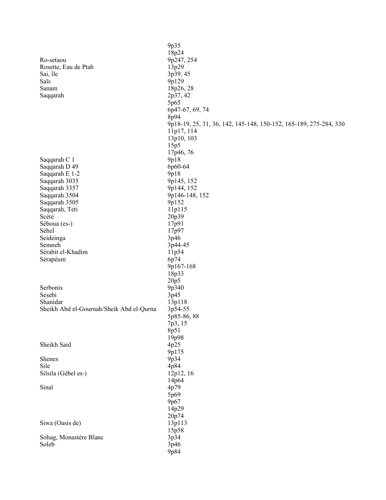|                                          | 9p35                                                              |
|------------------------------------------|-------------------------------------------------------------------|
|                                          | 18p24                                                             |
| Ro-setaou                                | 9p247, 254                                                        |
| Rosette, Eau de Ptah                     | 13p29                                                             |
| Sai, île                                 | 3p39, 45                                                          |
| Saïs                                     |                                                                   |
|                                          | 9p129                                                             |
| Sanam                                    | 18p26, 28                                                         |
| Saqqarah                                 | 2p37, 42                                                          |
|                                          | 5p65                                                              |
|                                          | 6p47-67, 69, 74                                                   |
|                                          | 8p94                                                              |
|                                          | 9p18-19, 25, 31, 36, 142, 145-148, 150-152, 165-189, 275-284, 330 |
|                                          | 11p17, 114                                                        |
|                                          | 13p10, 103                                                        |
|                                          | 15p5                                                              |
|                                          | 17p46, 76                                                         |
| Saqqarah C 1                             | 9p18                                                              |
| Saqqarah D 49                            | 6p60-64                                                           |
| Saqqarah E 1-2                           | 9p18                                                              |
| Saqqarah 3035                            | 9p145, 152                                                        |
| Saqqarah 3357                            | 9p144, 152                                                        |
| Saqqarah 3504                            | 9p146-148, 152                                                    |
| Saqqarah 3505                            | 9p152                                                             |
| Saqqarah, Teti                           | 11p115                                                            |
| Scété                                    | 20p39                                                             |
| Séboua (es-)                             | 17p91                                                             |
| Séhel                                    | 17p97                                                             |
| Seideinga                                | 3p46                                                              |
| Semneh                                   | 3p44-45                                                           |
| Sérabit el-Khadim                        | 11p54                                                             |
| Sérapéum                                 | 6p74                                                              |
|                                          | 9p167-168                                                         |
|                                          | 18p33                                                             |
|                                          | 20p5                                                              |
| Serbonis                                 | 9p340                                                             |
| Sesebi                                   | 3p45                                                              |
| Shanidar                                 | 13p118                                                            |
| Sheikh Abd el-Gournah/Sheik Abd el-Qurna | 3p54-55                                                           |
|                                          | 5p85-86, 88                                                       |
|                                          | 7p3, 15                                                           |
|                                          | 8p51                                                              |
|                                          | 19p98                                                             |
| Sheikh Said                              | 4p25                                                              |
|                                          | 9p175                                                             |
| Shenes                                   | 9p34                                                              |
| Sile                                     | 4p84                                                              |
| Silsila (Gébel es-)                      | 12p12, 16                                                         |
|                                          | 14p64                                                             |
| Sinaï                                    | 4p79                                                              |
|                                          | 5p69                                                              |
|                                          | 9p67                                                              |
|                                          | 14p29                                                             |
|                                          | 20p74                                                             |
| Siwa (Oasis de)                          | 13p113                                                            |
|                                          | 15p58                                                             |
| Sohag, Monastère Blanc                   | 3p34                                                              |
| Soleb                                    | 3p46                                                              |
|                                          | 9p84                                                              |
|                                          |                                                                   |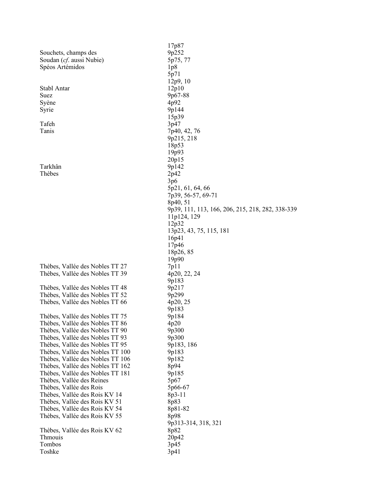|                                  | 17p87                                            |
|----------------------------------|--------------------------------------------------|
| Souchets, champs des             | 9p252                                            |
| Soudan (cf. aussi Nubie)         | 5p75, 77                                         |
| Spéos Artémidos                  | 1p8                                              |
|                                  | 5p71                                             |
|                                  | 12p9, 10                                         |
|                                  |                                                  |
| Stabl Antar                      | 12p10                                            |
| Suez                             | 9p67-88                                          |
| Syène                            | 4p92                                             |
| Syrie                            | 9p144                                            |
|                                  | 15p39                                            |
| Tafeh                            | 3p47                                             |
| Tanis                            | 7p40, 42, 76                                     |
|                                  | 9p215, 218                                       |
|                                  |                                                  |
|                                  | 18p53                                            |
|                                  | 19p93                                            |
|                                  | 20p15                                            |
| Tarkhân                          | 9p142                                            |
| Thèbes                           | 2p42                                             |
|                                  | 3p6                                              |
|                                  | 5p21, 61, 64, 66                                 |
|                                  | 7p39, 56-57, 69-71                               |
|                                  | 8p40, 51                                         |
|                                  | 9p39, 111, 113, 166, 206, 215, 218, 282, 338-339 |
|                                  |                                                  |
|                                  | 11p124, 129                                      |
|                                  | 12p32                                            |
|                                  | 13p23, 43, 75, 115, 181                          |
|                                  | 16p41                                            |
|                                  | 17p46                                            |
|                                  | 18p26, 85                                        |
|                                  | 19p90                                            |
| Thèbes, Vallée des Nobles TT 27  | 7p11                                             |
| Thèbes, Vallée des Nobles TT 39  | 4p20, 22, 24                                     |
|                                  | 9p183                                            |
|                                  |                                                  |
| Thèbes, Vallée des Nobles TT 48  | 9p217                                            |
| Thèbes, Vallée des Nobles TT 52  | 9p299                                            |
| Thèbes, Vallée des Nobles TT 66  | 4p20, 25                                         |
|                                  | 9p183                                            |
| Thèbes, Vallée des Nobles TT 75  | 9p184                                            |
| Thèbes, Vallée des Nobles TT 86  | 4p20                                             |
| Thèbes, Vallée des Nobles TT 90  | 9p300                                            |
| Thèbes, Vallée des Nobles TT 93  | 9p300                                            |
| Thèbes, Vallée des Nobles TT 95  | 9p183, 186                                       |
|                                  |                                                  |
| Thèbes, Vallée des Nobles TT 100 | 9p183                                            |
| Thèbes, Vallée des Nobles TT 106 | 9p182                                            |
| Thèbes, Vallée des Nobles TT 162 | 8p94                                             |
| Thèbes, Vallée des Nobles TT 181 | 9p185                                            |
| Thèbes, Vallée des Reines        | 5p67                                             |
| Thèbes, Vallée des Rois          | 5p66-67                                          |
| Thèbes, Vallée des Rois KV 14    | 8p3-11                                           |
| Thèbes, Vallée des Rois KV 51    | 8p83                                             |
| Thèbes, Vallée des Rois KV 54    | 8p81-82                                          |
|                                  | 8p98                                             |
| Thèbes, Vallée des Rois KV 55    |                                                  |
|                                  | 9p313-314, 318, 321                              |
| Thèbes, Vallée des Rois KV 62    | 8p82                                             |
| Thmouis                          | 20p42                                            |
| Tombos                           | 3p45                                             |
| Toshke                           | 3p41                                             |